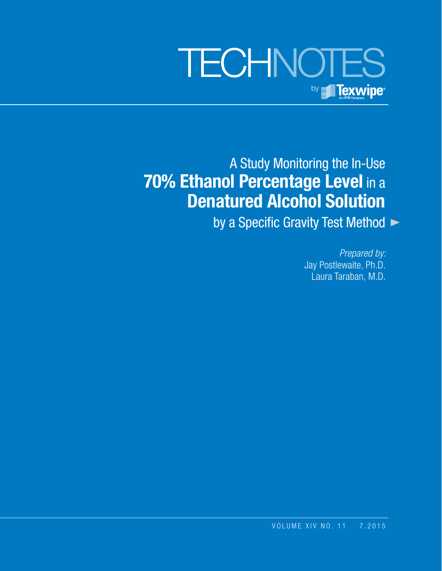# **TECHNOTES** by **Texwipe**

A Study Monitoring the In-Use **70% Ethanol Percentage Level in a Denatured Alcohol Solution**

by a Specific Gravity Test Method  $\blacktriangleright$ 

*Prepared by:* Jay Postlewaite, Ph.D. Laura Taraban, M.D.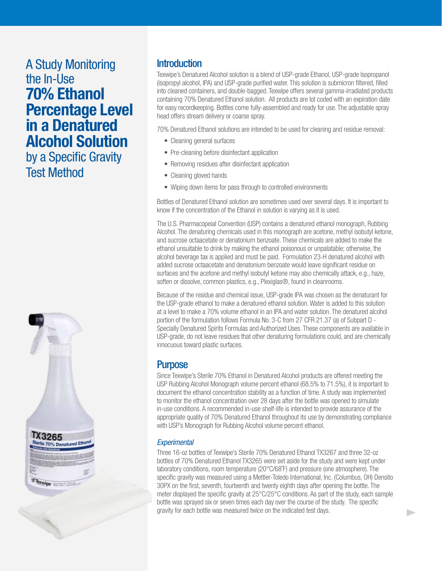## A Study Monitoring the In-Use **70% Ethanol Percentage Level in a Denatured Alcohol Solution**

by a Specific Gravity Test Method



#### **Introduction**

Texwipe's Denatured Alcohol solution is a blend of USP-grade Ethanol, USP-grade Isopropanol (isopropyl alcohol, IPA) and USP-grade purified water. This solution is submicron filtered, filled into cleaned containers, and double-bagged. Texwipe offers several gamma-irradiated products containing 70% Denatured Ethanol solution. All products are lot coded with an expiration date for easy recordkeeping. Bottles come fully-assembled and ready for use. The adjustable spray head offers stream delivery or coarse spray.

70% Denatured Ethanol solutions are intended to be used for cleaning and residue removal:

- Cleaning general surfaces
- Pre-cleaning before disinfectant application
- Removing residues after disinfectant application
- Cleaning gloved hands
- Wiping down items for pass through to controlled environments

Bottles of Denatured Ethanol solution are sometimes used over several days. It is important to know if the concentration of the Ethanol in solution is varying as it is used.

The U.S. Pharmacopeial Convention (USP) contains a denatured ethanol monograph, Rubbing Alcohol. The denaturing chemicals used in this monograph are acetone, methyl isobutyl ketone, and sucrose octaacetate or denatonium benzoate. These chemicals are added to make the ethanol unsuitable to drink by making the ethanol poisonous or unpalatable; otherwise, the alcohol beverage tax is applied and must be paid. Formulation 23-H denatured alcohol with added sucrose octaacetate and denatonium benzoate would leave significant residue on surfaces and the acetone and methyl isobutyl ketone may also chemically attack, e.g., haze, soften or dissolve, common plastics, e.g., Plexiglas<sup>®</sup>, found in cleanrooms.

Because of the residue and chemical issue, USP-grade IPA was chosen as the denaturant for the USP-grade ethanol to make a denatured ethanol solution. Water is added to this solution at a level to make a 70% volume ethanol in an IPA and water solution. The denatured alcohol portion of the formulation follows Formula No. 3-C from 27 CFR 21.37 (a) of Subpart D - Specially Denatured Spirits Formulas and Authorized Uses. These components are available in USP-grade, do not leave residues that other denaturing formulations could, and are chemically innocuous toward plastic surfaces.

#### **Purpose**

Since Texwipe's Sterile 70% Ethanol in Denatured Alcohol products are offered meeting the USP Rubbing Alcohol Monograph volume percent ethanol (68.5% to 71.5%), it is important to document the ethanol concentration stability as a function of time. A study was implemented to monitor the ethanol concentration over 28 days after the bottle was opened to simulate in-use conditions. A recommended in-use shelf-life is intended to provide assurance of the appropriate quality of 70% Denatured Ethanol throughout its use by demonstrating compliance with USP's Monograph for Rubbing Alcohol volume percent ethanol.

#### *Experimental*

Three 16-oz bottles of Texwipe's Sterile 70% Denatured Ethanol TX3267 and three 32-oz bottles of 70% Denatured Ethanol TX3265 were set aside for the study and were kept under laboratory conditions, room temperature (20°C/68˚F) and pressure (one atmosphere). The specific gravity was measured using a Mettler-Toledo International, Inc. (Columbus, OH) Densito 30PX on the first, seventh, fourteenth and twenty eighth days after opening the bottle. The meter displayed the specific gravity at 25°C/25°C conditions. As part of the study, each sample bottle was sprayed six or seven times each day over the course of the study. The specific gravity for each bottle was measured twice on the indicated test days.

Þ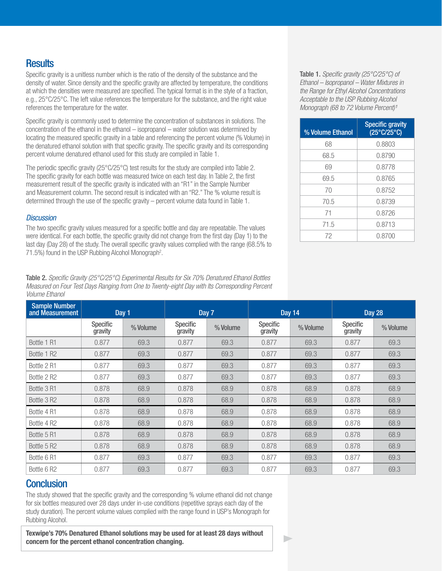## **Results**

Specific gravity is a unitless number which is the ratio of the density of the substance and the density of water. Since density and the specific gravity are affected by temperature, the conditions at which the densities were measured are specified. The typical format is in the style of a fraction, e.g., 25°C/25°C. The left value references the temperature for the substance, and the right value references the temperature for the water.

Specific gravity is commonly used to determine the concentration of substances in solutions. The concentration of the ethanol in the ethanol – isopropanol – water solution was determined by locating the measured specific gravity in a table and referencing the percent volume (% Volume) in the denatured ethanol solution with that specific gravity. The specific gravity and its corresponding percent volume denatured ethanol used for this study are compiled in Table 1.

The periodic specific gravity (25°C/25°C) test results for the study are compiled into Table 2. The specific gravity for each bottle was measured twice on each test day. In Table 2, the first measurement result of the specific gravity is indicated with an "R1" in the Sample Number and Measurement column. The second result is indicated with an "R2." The % volume result is determined through the use of the specific gravity – percent volume data found in Table 1.

#### *Discussion*

The two specific gravity values measured for a specific bottle and day are repeatable. The values were identical. For each bottle, the specific gravity did not change from the first day (Day 1) to the last day (Day 28) of the study. The overall specific gravity values complied with the range (68.5% to 71.5%) found in the USP Rubbing Alcohol Monograph<sup>2</sup>.

Table 2. *Specific Gravity (25°C/25°C) Experimental Results for Six 70% Denatured Ethanol Bottles Measured on Four Test Days Ranging from One to Twenty-eight Day with Its Corresponding Percent Volume Ethanol*

Sample Number and Measurement  $\vert$  Day 1 Day 1 Day 7 Day 14 Day 14 Day 28 Specific Specific | % Volume | Specific<br>| aravity | % Volume | Gravity % Volume Specific % Volume Specific % Volume Bottle 1 R1 0.877 69.3 0.877 69.3 0.877 69.3 0.877 69.3 Bottle 1 R2 | 0.877 | 69.3 | 0.877 | 69.3 | 0.877 | 69.3 Bottle 2 R1 0.877 69.3 0.877 69.3 0.877 69.3 0.877 69.3 Bottle 2 R2 0.877 69.3 0.877 69.3 0.877 69.3 0.877 69.3 Bottle 3 R1 | 0.878 | 68.9 | 0.878 | 68.9 | 0.878 | 68.9 | 0.878 | 68.9 Bottle 3 R2 | 0.878 | 68.9 | 0.878 | 68.9 | 0.878 | 68.9 | 0.878 | 68.9 Bottle 4 R1 | 0.878 | 68.9 | 0.878 | 68.9 | 68.9 | 0.878 | 68.9 Bottle 4 R2 | 0.878 | 68.9 | 0.878 | 68.9 | 68.9 | 0.878 | 68.9 Bottle 5 R1 | 0.878 | 68.9 | 0.878 | 68.9 | 0.878 | 68.9 | 0.878 | 68.9 Bottle 5 R2 | 0.878 | 68.9 | 0.878 | 68.9 | 0.878 | 68.9 | 0.878 | 68.9 Bottle 6 R1 0.877 69.3 0.877 69.3 0.877 69.3 0.877 69.3 Bottle 6 R2 0.877 69.3 0.877 69.3 0.877 69.3 0.877 69.3

Þ

## **Conclusion**

The study showed that the specific gravity and the corresponding % volume ethanol did not change for six bottles measured over 28 days under in-use conditions (repetitive sprays each day of the study duration). The percent volume values complied with the range found in USP's Monograph for Rubbing Alcohol.

**Texwipe's 70% Denatured Ethanol solutions may be used for at least 28 days without concern for the percent ethanol concentration changing.**

Table 1. *Specific gravity (25°C/25°C) of Ethanol – Isopropanol – Water Mixtures in the Range for Ethyl Alcohol Concentrations Acceptable to the USP Rubbing Alcohol Monograph (68 to 72 Volume Percent)<sup>1</sup>* 

| % Volume Ethanol | <b>Specific gravity</b><br>$(25^{\circ}C/25^{\circ}C)$ |  |
|------------------|--------------------------------------------------------|--|
| 68               | 0.8803                                                 |  |
| 68.5             | 0.8790                                                 |  |
| 69               | 0.8778                                                 |  |
| 69.5             | 0.8765                                                 |  |
| 70               | 0.8752                                                 |  |
| 70.5             | 0.8739                                                 |  |
| 71               | 0.8726                                                 |  |
| 71.5             | 0.8713                                                 |  |
| 72               | 0.8700                                                 |  |